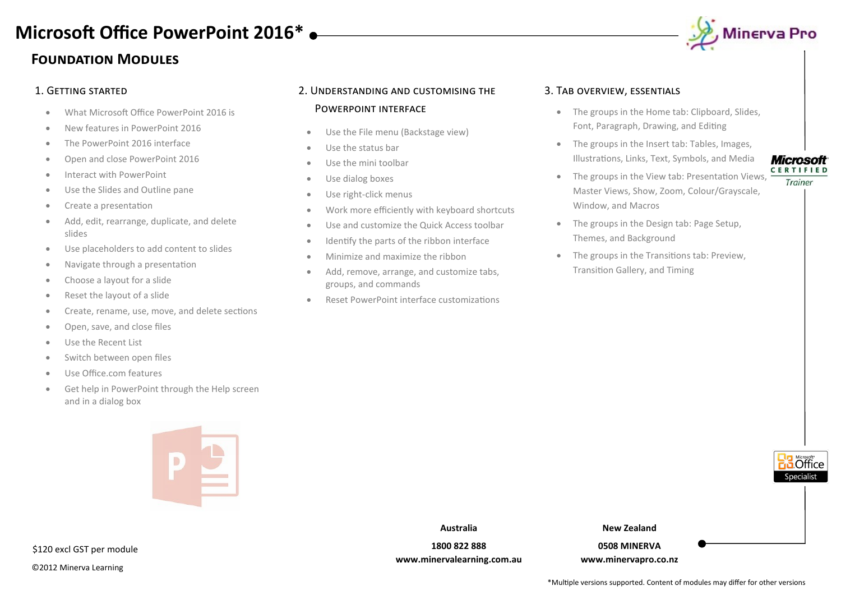# **Foundation Modules**

- What Microsoft Office PowerPoint 2016 is
- New features in PowerPoint 2016
- The PowerPoint 2016 interface
- Open and close PowerPoint 2016
- Interact with PowerPoint
- Use the Slides and Outline pane
- Create a presentation
- Add, edit, rearrange, duplicate, and delete slides
- Use placeholders to add content to slides
- Navigate through a presentation
- Choose a layout for a slide
- Reset the layout of a slide
- Create, rename, use, move, and delete sections
- Open, save, and close files
- Use the Recent List
- Switch between open files
- Use Office.com features
- Get help in PowerPoint through the Help screen and in a dialog box



# \$120 excl GST per module

©2012 Minerva Learning

# 1. Getting started 2. Understanding and customising the Powerpoint interface

- Use the File menu (Backstage view)
- Use the status bar
- Use the mini toolbar
- Use dialog boxes
- Use right-click menus
- Work more efficiently with keyboard shortcuts
- Use and customize the Quick Access toolbar
- Identify the parts of the ribbon interface
- Minimize and maximize the ribbon
- Add, remove, arrange, and customize tabs, groups, and commands
- Reset PowerPoint interface customizations

## 3. Tab overview, essentials

- The groups in the Home tab: Clipboard, Slides, Font, Paragraph, Drawing, and Editing
- The groups in the Insert tab: Tables, Images, Illustrations, Links, Text, Symbols, and Media
- The groups in the View tab: Presentation Views,  $\frac{CERTIFIED}{T}$ Master Views, Show, Zoom, Colour/Grayscale, Window, and Macros
- The groups in the Design tab: Page Setup, Themes, and Background
- The groups in the Transitions tab: Preview, Transition Gallery, and Timing





**New Zealand**

**0508 MINERVA www.minervapro.co.nz**

# , Minerva Pro

\*Multiple versions supported. Content of modules may differ for other versions

**Australia**

**1800 822 888 www.minervalearning.com.au**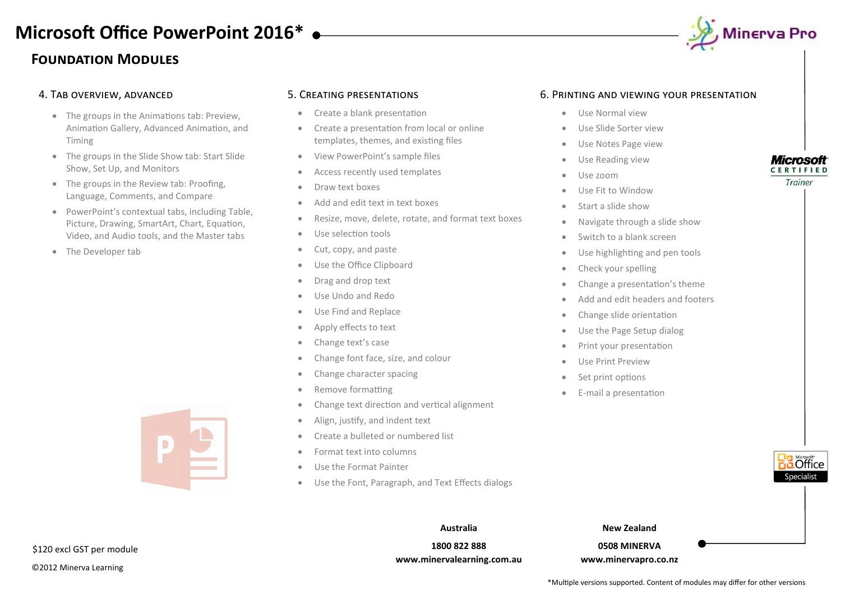# **Foundation Modules**



- The groups in the Animations tab: Preview, Animation Gallery, Advanced Animation, and Timing
- The groups in the Slide Show tab: Start Slide Show, Set Up, and Monitors
- The groups in the Review tab: Proofing, Language, Comments, and Compare
- PowerPoint's contextual tabs, including Table, Picture, Drawing, SmartArt, Chart, Equation, Video, and Audio tools, and the Master tabs
- The Developer tab



- Create a blank presentation
- Create a presentation from local or online templates, themes, and existing files
- View PowerPoint's sample files
- Access recently used templates
- Draw text boxes
- Add and edit text in text boxes
- Resize, move, delete, rotate, and format text boxes
- Use selection tools
- Cut, copy, and paste
- Use the Office Clipboard
- Drag and drop text
- Use Undo and Redo
- Use Find and Replace
- Apply effects to text
- Change text's case
- Change font face, size, and colour
- Change character spacing
- Remove formatting
- Change text direction and vertical alignment
- Align, justify, and indent text
- Create a bulleted or numbered list
- Format text into columns
- Use the Format Painter
- Use the Font, Paragraph, and Text Effects dialogs

### 6. Printing and viewing your presentation

- Use Normal view
- Use Slide Sorter view
- Use Notes Page view
- Use Reading view
- Use zoom
- Use Fit to Window
- Start a slide show
- Navigate through a slide show
- Switch to a blank screen
- Use highlighting and pen tools
- Check your spelling
- Change a presentation's theme
- Add and edit headers and footers
- Change slide orientation
- Use the Page Setup dialog
- Print your presentation
- Use Print Preview
- Set print options
- E-mail a presentation



**Microsoft CERTIFIED** Trainer

**Australia**

**1800 822 888 www.minervalearning.com.au** **New Zealand**

**0508 MINERVA www.minervapro.co.nz**

\$120 excl GST per module

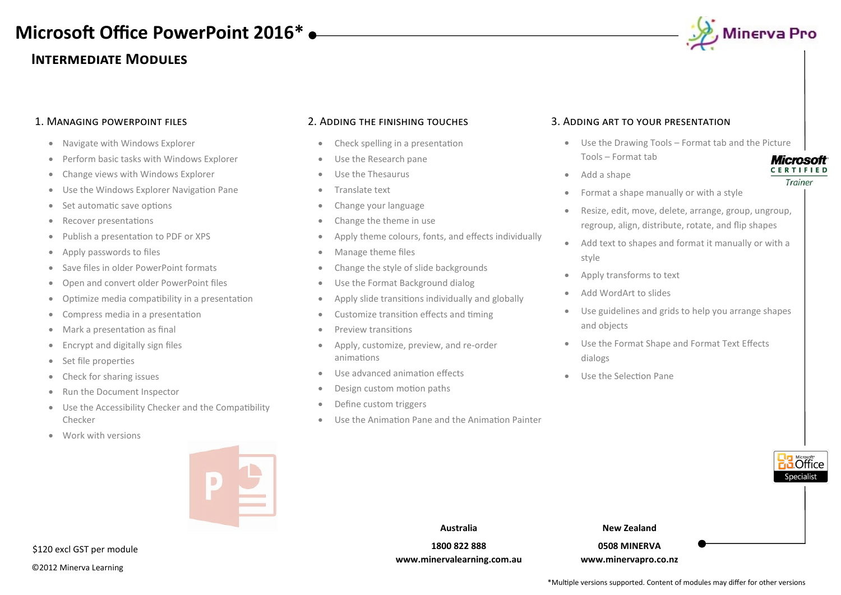# **Intermediate Modules**



**CERTIFIED** Trainer

### 1. Managing powerpoint files

- Navigate with Windows Explorer
- Perform basic tasks with Windows Explorer
- Change views with Windows Explorer
- Use the Windows Explorer Navigation Pane
- Set automatic save options
- Recover presentations
- Publish a presentation to PDF or XPS
- Apply passwords to files
- Save files in older PowerPoint formats
- Open and convert older PowerPoint files
- Optimize media compatibility in a presentation
- Compress media in a presentation
- Mark a presentation as final
- Encrypt and digitally sign files
- Set file properties
- Check for sharing issues
- Run the Document Inspector
- Use the Accessibility Checker and the Compatibility Checker
- Work with versions



©2012 Minerva Learning \$120 excl GST per module

#### 2. Adding the finishing touches

- Check spelling in a presentation
- Use the Research pane
- **•** Use the Thesaurus
- Translate text
- Change your language
- Change the theme in use
- Apply theme colours, fonts, and effects individually
- Manage theme files
- Change the style of slide backgrounds
- Use the Format Background dialog
- Apply slide transitions individually and globally
- Customize transition effects and timing
- Preview transitions
- Apply, customize, preview, and re-order animations
- Use advanced animation effects
- Design custom motion paths
- Define custom triggers
- Use the Animation Pane and the Animation Painter

#### 3. Adding art to your presentation

- Use the Drawing Tools Format tab and the Picture Tools – Format tab **Microsoft**
- Add a shape
- Format a shape manually or with a style
- Resize, edit, move, delete, arrange, group, ungroup, regroup, align, distribute, rotate, and flip shapes
- Add text to shapes and format it manually or with a style
- Apply transforms to text
- Add WordArt to slides
- Use guidelines and grids to help you arrange shapes and objects
- Use the Format Shape and Format Text Effects dialogs
- Use the Selection Pane



\*Multiple versions supported. Content of modules may differ for other versions

**Australia 1800 822 888 www.minervalearning.com.au**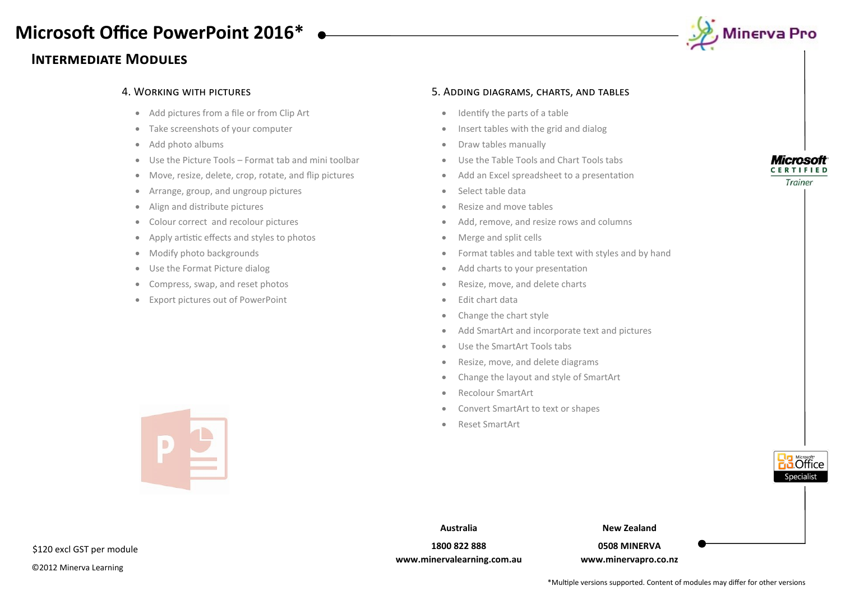# **Intermediate Modules**



- Add pictures from a file or from Clip Art
- Take screenshots of your computer
- Add photo albums
- Use the Picture Tools Format tab and mini toolbar
- Move, resize, delete, crop, rotate, and flip pictures
- Arrange, group, and ungroup pictures
- Align and distribute pictures
- Colour correct and recolour pictures
- Apply artistic effects and styles to photos
- Modify photo backgrounds

 $\begin{array}{c} \hline \end{array}$ 

- Use the Format Picture dialog
- Compress, swap, and reset photos
- Export pictures out of PowerPoint

#### 4. Working with pictures 5. Adding diagrams, charts, and tables

- Identify the parts of a table
- Insert tables with the grid and dialog
- Draw tables manually
- Use the Table Tools and Chart Tools tabs
- Add an Excel spreadsheet to a presentation
- Select table data
- Resize and move tables
- Add, remove, and resize rows and columns
- Merge and split cells
- Format tables and table text with styles and by hand
- Add charts to your presentation
- Resize, move, and delete charts
- $\bullet$  Fdit chart data
- Change the chart style
- Add SmartArt and incorporate text and pictures
- Use the SmartArt Tools tabs
- Resize, move, and delete diagrams
- Change the layout and style of SmartArt
- Recolour SmartArt
- Convert SmartArt to text or shapes
- Reset SmartArt





**New Zealand**

**0508 MINERVA www.minervapro.co.nz**



**Microsoft CERTIFIED** Trainer

\$120 excl GST per module

©2012 Minerva Learning

**Australia**

**1800 822 888 www.minervalearning.com.au**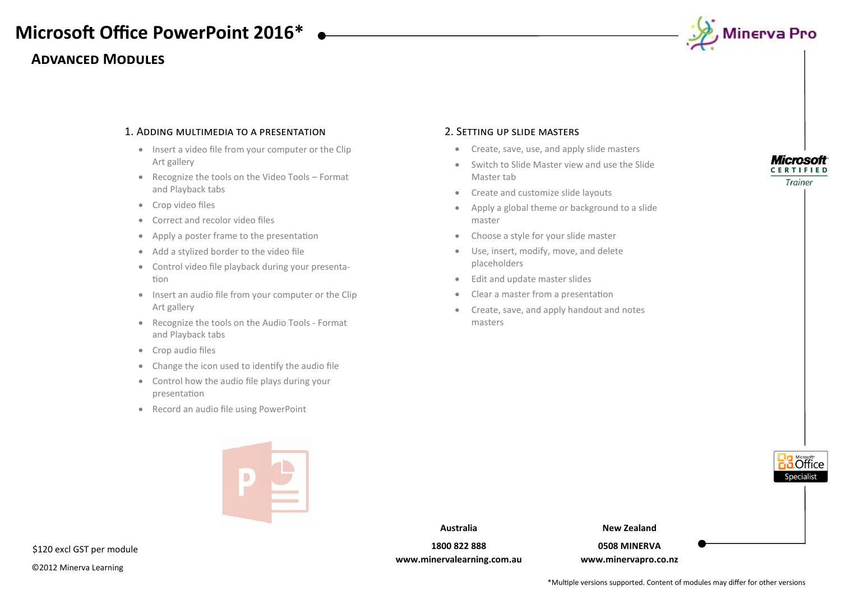# **Advanced Modules**



### 1. Adding multimedia to a presentation

- Insert a video file from your computer or the Clip Art gallery
- Recognize the tools on the Video Tools Format and Playback tabs
- Crop video files
- Correct and recolor video files
- Apply a poster frame to the presentation
- Add a stylized border to the video file
- Control video file playback during your presentation
- Insert an audio file from your computer or the Clip Art gallery
- Recognize the tools on the Audio Tools Format and Playback tabs
- Crop audio files
- Change the icon used to identify the audio file
- Control how the audio file plays during your presentation
- Record an audio file using PowerPoint



### 2. Setting up slide masters

- Create, save, use, and apply slide masters
- Switch to Slide Master view and use the Slide Master tab
- Create and customize slide layouts
- Apply a global theme or background to a slide master
- Choose a style for your slide master
- Use, insert, modify, move, and delete placeholders
- Edit and update master slides
- Clear a master from a presentation
- Create, save, and apply handout and notes masters



**Australia**

**1800 822 888 www.minervalearning.com.au** **New Zealand**

**0508 MINERVA www.minervapro.co.nz**

**Microsoft CERTIFIED** Trainer

\$120 excl GST per module

©2012 Minerva Learning

\*Multiple versions supported. Content of modules may differ for other versions